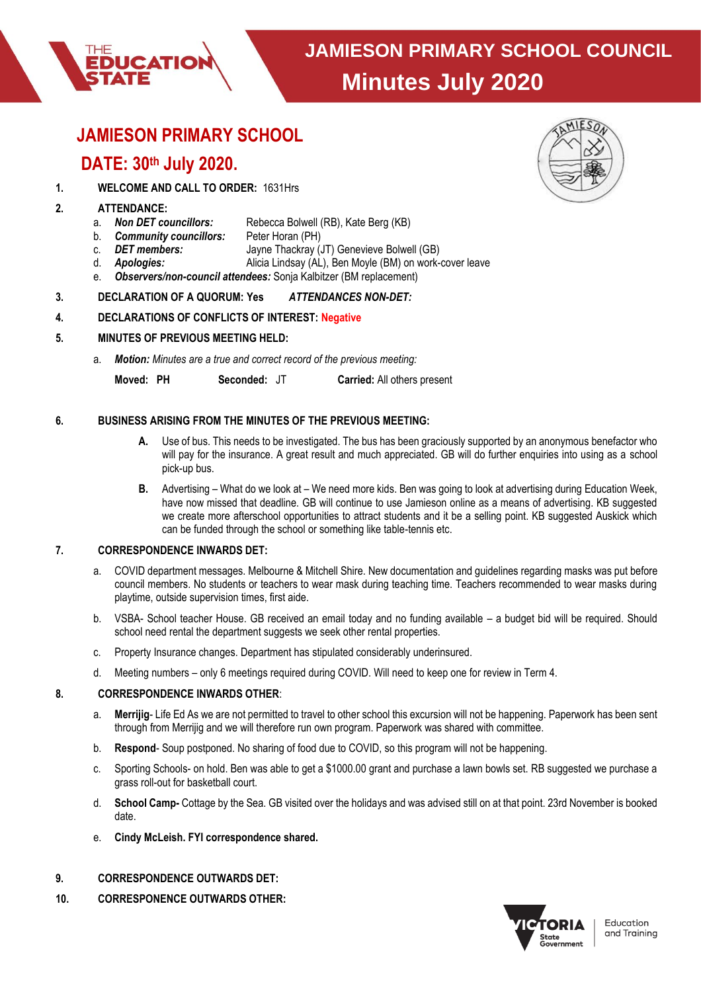

# **JAMIESON PRIMARY SCHOOL**

# **DATE: 30th July 2020.**

**DUCATION** 

# **1. WELCOME AND CALL TO ORDER:** 1631Hrs

# **2. ATTENDANCE:**

- a. *Non DET councillors:* Rebecca Bolwell (RB), Kate Berg (KB)
- b. *Community councillors:* Peter Horan (PH)
- c. **DET members:** Jayne Thackray (JT) Genevieve Bolwell (GB)<br>d. **Apologies:** Alicia Lindsay (AL), Ben Moyle (BM) on work-
- Alicia Lindsay (AL), Ben Moyle (BM) on work-cover leave
- e. *Observers/non-council attendees:* Sonja Kalbitzer (BM replacement)

## **3. DECLARATION OF A QUORUM: Yes** *ATTENDANCES NON-DET:*

## **4. DECLARATIONS OF CONFLICTS OF INTEREST: Negative**

## **5. MINUTES OF PREVIOUS MEETING HELD:**

a. *Motion: Minutes are a true and correct record of the previous meeting:*

**Moved: PH Seconded:** JT **Carried:** All others present

## **6. BUSINESS ARISING FROM THE MINUTES OF THE PREVIOUS MEETING:**

- **A.** Use of bus. This needs to be investigated. The bus has been graciously supported by an anonymous benefactor who will pay for the insurance. A great result and much appreciated. GB will do further enquiries into using as a school pick-up bus.
- **B.** Advertising What do we look at We need more kids. Ben was going to look at advertising during Education Week, have now missed that deadline. GB will continue to use Jamieson online as a means of advertising. KB suggested we create more afterschool opportunities to attract students and it be a selling point. KB suggested Auskick which can be funded through the school or something like table-tennis etc.

# **7. CORRESPONDENCE INWARDS DET:**

- a. COVID department messages. Melbourne & Mitchell Shire. New documentation and guidelines regarding masks was put before council members. No students or teachers to wear mask during teaching time. Teachers recommended to wear masks during playtime, outside supervision times, first aide.
- b. VSBA- School teacher House. GB received an email today and no funding available a budget bid will be required. Should school need rental the department suggests we seek other rental properties.
- c. Property Insurance changes. Department has stipulated considerably underinsured.
- d. Meeting numbers only 6 meetings required during COVID. Will need to keep one for review in Term 4.

#### **8. CORRESPONDENCE INWARDS OTHER**:

- a. **Merrijig** Life Ed As we are not permitted to travel to other school this excursion will not be happening. Paperwork has been sent through from Merrijig and we will therefore run own program. Paperwork was shared with committee.
- b. **Respond** Soup postponed. No sharing of food due to COVID, so this program will not be happening.
- c. Sporting Schools- on hold. Ben was able to get a \$1000.00 grant and purchase a lawn bowls set. RB suggested we purchase a grass roll-out for basketball court.
- d. **School Camp-** Cottage by the Sea. GB visited over the holidays and was advised still on at that point. 23rd November is booked date.
- e. **Cindy McLeish. FYI correspondence shared.**
- **9. CORRESPONDENCE OUTWARDS DET:**
- **10. CORRESPONENCE OUTWARDS OTHER:**



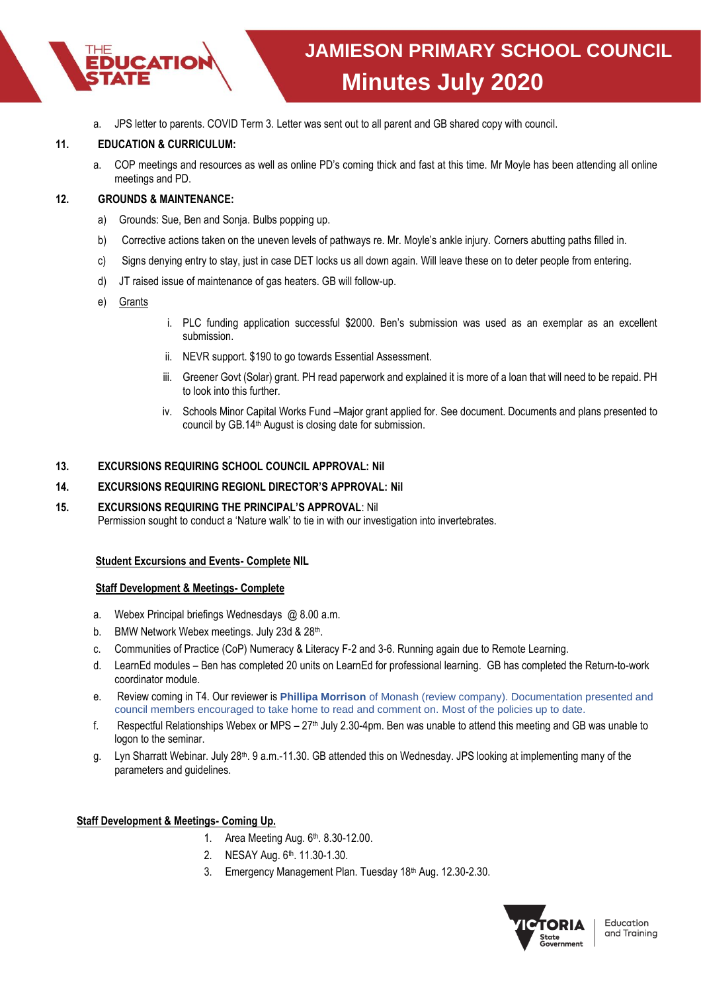

a. JPS letter to parents. COVID Term 3. Letter was sent out to all parent and GB shared copy with council.

## **11. EDUCATION & CURRICULUM:**

a. COP meetings and resources as well as online PD's coming thick and fast at this time. Mr Moyle has been attending all online meetings and PD.

# **12. GROUNDS & MAINTENANCE:**

- a) Grounds: Sue, Ben and Sonja. Bulbs popping up.
- b) Corrective actions taken on the uneven levels of pathways re. Mr. Moyle's ankle injury. Corners abutting paths filled in.
- c) Signs denying entry to stay, just in case DET locks us all down again. Will leave these on to deter people from entering.
- d) JT raised issue of maintenance of gas heaters. GB will follow-up.
- e) Grants
- i. PLC funding application successful \$2000. Ben's submission was used as an exemplar as an excellent submission.
- ii. NEVR support. \$190 to go towards Essential Assessment.
- iii. Greener Govt (Solar) grant. PH read paperwork and explained it is more of a loan that will need to be repaid. PH to look into this further.
- iv. Schools Minor Capital Works Fund –Major grant applied for. See document. Documents and plans presented to council by GB.14th August is closing date for submission.

## **13. EXCURSIONS REQUIRING SCHOOL COUNCIL APPROVAL: Nil**

## **14. EXCURSIONS REQUIRING REGIONL DIRECTOR'S APPROVAL: Nil**

**15. EXCURSIONS REQUIRING THE PRINCIPAL'S APPROVAL**: Nil Permission sought to conduct a 'Nature walk' to tie in with our investigation into invertebrates.

#### **Student Excursions and Events- Complete NIL**

#### **Staff Development & Meetings- Complete**

- a. Webex Principal briefings Wednesdays @ 8.00 a.m.
- b. BMW Network Webex meetings. July 23d & 28<sup>th</sup>.
- c. Communities of Practice (CoP) Numeracy & Literacy F-2 and 3-6. Running again due to Remote Learning.
- d. LearnEd modules Ben has completed 20 units on LearnEd for professional learning. GB has completed the Return-to-work coordinator module.
- e. Review coming in T4. Our reviewer is **Phillipa Morrison** of Monash (review company). Documentation presented and council members encouraged to take home to read and comment on. Most of the policies up to date.
- f. Respectful Relationships Webex or MPS  $27<sup>th</sup>$  July 2.30-4pm. Ben was unable to attend this meeting and GB was unable to logon to the seminar.
- g. Lyn Sharratt Webinar. July 28<sup>th</sup>. 9 a.m.-11.30. GB attended this on Wednesday. JPS looking at implementing many of the parameters and guidelines.

#### **Staff Development & Meetings- Coming Up.**

- 1. Area Meeting Aug. 6th . 8.30-12.00.
- 2. NESAY Aug. 6th . 11.30-1.30.
- 3. Emergency Management Plan. Tuesday 18<sup>th</sup> Aug. 12.30-2.30.